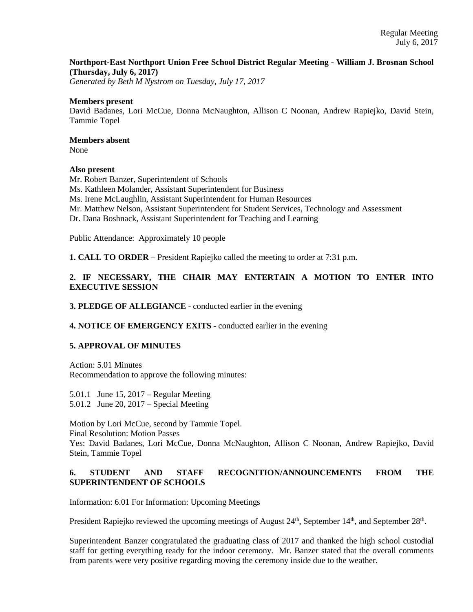# **Northport-East Northport Union Free School District Regular Meeting - William J. Brosnan School (Thursday, July 6, 2017)**

*Generated by Beth M Nystrom on Tuesday, July 17, 2017*

#### **Members present**

David Badanes, Lori McCue, Donna McNaughton, Allison C Noonan, Andrew Rapiejko, David Stein, Tammie Topel

# **Members absent**

None

# **Also present**

Mr. Robert Banzer, Superintendent of Schools Ms. Kathleen Molander, Assistant Superintendent for Business Ms. Irene McLaughlin, Assistant Superintendent for Human Resources Mr. Matthew Nelson, Assistant Superintendent for Student Services, Technology and Assessment Dr. Dana Boshnack, Assistant Superintendent for Teaching and Learning

Public Attendance: Approximately 10 people

**1. CALL TO ORDER** – President Rapiejko called the meeting to order at 7:31 p.m.

# **2. IF NECESSARY, THE CHAIR MAY ENTERTAIN A MOTION TO ENTER INTO EXECUTIVE SESSION**

# **3. PLEDGE OF ALLEGIANCE** - conducted earlier in the evening

# **4. NOTICE OF EMERGENCY EXITS** - conducted earlier in the evening

# **5. APPROVAL OF MINUTES**

Action: 5.01 Minutes Recommendation to approve the following minutes:

5.01.1 June 15, 2017 – Regular Meeting 5.01.2 June 20, 2017 – Special Meeting

Motion by Lori McCue, second by Tammie Topel. Final Resolution: Motion Passes Yes: David Badanes, Lori McCue, Donna McNaughton, Allison C Noonan, Andrew Rapiejko, David Stein, Tammie Topel

# **6. STUDENT AND STAFF RECOGNITION/ANNOUNCEMENTS FROM THE SUPERINTENDENT OF SCHOOLS**

Information: 6.01 For Information: Upcoming Meetings

President Rapiejko reviewed the upcoming meetings of August  $24<sup>th</sup>$ , September  $14<sup>th</sup>$ , and September  $28<sup>th</sup>$ .

Superintendent Banzer congratulated the graduating class of 2017 and thanked the high school custodial staff for getting everything ready for the indoor ceremony. Mr. Banzer stated that the overall comments from parents were very positive regarding moving the ceremony inside due to the weather.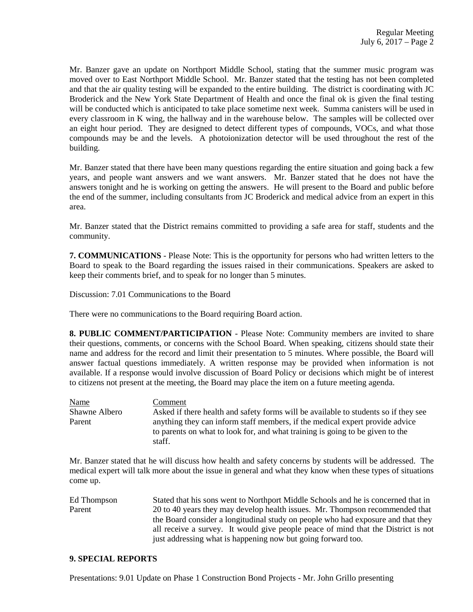Mr. Banzer gave an update on Northport Middle School, stating that the summer music program was moved over to East Northport Middle School. Mr. Banzer stated that the testing has not been completed and that the air quality testing will be expanded to the entire building. The district is coordinating with JC Broderick and the New York State Department of Health and once the final ok is given the final testing will be conducted which is anticipated to take place sometime next week. Summa canisters will be used in every classroom in K wing, the hallway and in the warehouse below. The samples will be collected over an eight hour period. They are designed to detect different types of compounds, VOCs, and what those compounds may be and the levels. A photoionization detector will be used throughout the rest of the building.

Mr. Banzer stated that there have been many questions regarding the entire situation and going back a few years, and people want answers and we want answers. Mr. Banzer stated that he does not have the answers tonight and he is working on getting the answers. He will present to the Board and public before the end of the summer, including consultants from JC Broderick and medical advice from an expert in this area.

Mr. Banzer stated that the District remains committed to providing a safe area for staff, students and the community.

**7. COMMUNICATIONS** - Please Note: This is the opportunity for persons who had written letters to the Board to speak to the Board regarding the issues raised in their communications. Speakers are asked to keep their comments brief, and to speak for no longer than 5 minutes.

Discussion: 7.01 Communications to the Board

There were no communications to the Board requiring Board action.

**8. PUBLIC COMMENT/PARTICIPATION** - Please Note: Community members are invited to share their questions, comments, or concerns with the School Board. When speaking, citizens should state their name and address for the record and limit their presentation to 5 minutes. Where possible, the Board will answer factual questions immediately. A written response may be provided when information is not available. If a response would involve discussion of Board Policy or decisions which might be of interest to citizens not present at the meeting, the Board may place the item on a future meeting agenda.

Name Comment Shawne Albero Asked if there health and safety forms will be available to students so if they see Parent anything they can inform staff members, if the medical expert provide advice to parents on what to look for, and what training is going to be given to the staff.

Mr. Banzer stated that he will discuss how health and safety concerns by students will be addressed. The medical expert will talk more about the issue in general and what they know when these types of situations come up.

Ed Thompson Stated that his sons went to Northport Middle Schools and he is concerned that in Parent 20 to 40 years they may develop health issues. Mr. Thompson recommended that the Board consider a longitudinal study on people who had exposure and that they all receive a survey. It would give people peace of mind that the District is not just addressing what is happening now but going forward too.

#### **9. SPECIAL REPORTS**

Presentations: 9.01 Update on Phase 1 Construction Bond Projects - Mr. John Grillo presenting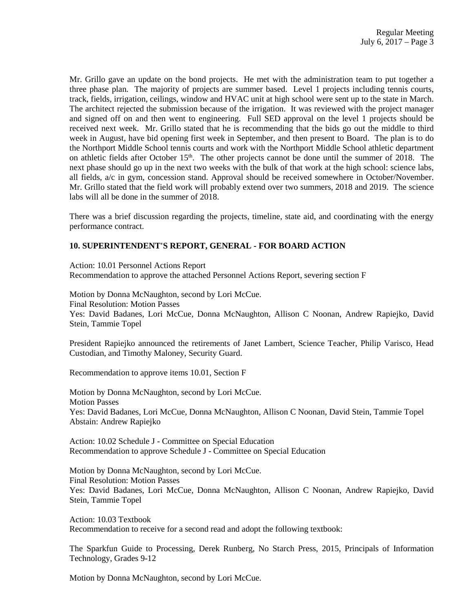Mr. Grillo gave an update on the bond projects. He met with the administration team to put together a three phase plan. The majority of projects are summer based. Level 1 projects including tennis courts, track, fields, irrigation, ceilings, window and HVAC unit at high school were sent up to the state in March. The architect rejected the submission because of the irrigation. It was reviewed with the project manager and signed off on and then went to engineering. Full SED approval on the level 1 projects should be received next week. Mr. Grillo stated that he is recommending that the bids go out the middle to third week in August, have bid opening first week in September, and then present to Board. The plan is to do the Northport Middle School tennis courts and work with the Northport Middle School athletic department on athletic fields after October 15th. The other projects cannot be done until the summer of 2018. The next phase should go up in the next two weeks with the bulk of that work at the high school: science labs, all fields, a/c in gym, concession stand. Approval should be received somewhere in October/November. Mr. Grillo stated that the field work will probably extend over two summers, 2018 and 2019. The science labs will all be done in the summer of 2018.

There was a brief discussion regarding the projects, timeline, state aid, and coordinating with the energy performance contract.

# **10. SUPERINTENDENT'S REPORT, GENERAL - FOR BOARD ACTION**

Action: 10.01 Personnel Actions Report Recommendation to approve the attached Personnel Actions Report, severing section F

Motion by Donna McNaughton, second by Lori McCue. Final Resolution: Motion Passes Yes: David Badanes, Lori McCue, Donna McNaughton, Allison C Noonan, Andrew Rapiejko, David Stein, Tammie Topel

President Rapiejko announced the retirements of Janet Lambert, Science Teacher, Philip Varisco, Head Custodian, and Timothy Maloney, Security Guard.

Recommendation to approve items 10.01, Section F

Motion by Donna McNaughton, second by Lori McCue. Motion Passes Yes: David Badanes, Lori McCue, Donna McNaughton, Allison C Noonan, David Stein, Tammie Topel Abstain: Andrew Rapiejko

Action: 10.02 Schedule J - Committee on Special Education Recommendation to approve Schedule J - Committee on Special Education

Motion by Donna McNaughton, second by Lori McCue. Final Resolution: Motion Passes Yes: David Badanes, Lori McCue, Donna McNaughton, Allison C Noonan, Andrew Rapiejko, David Stein, Tammie Topel

Action: 10.03 Textbook Recommendation to receive for a second read and adopt the following textbook:

The Sparkfun Guide to Processing, Derek Runberg, No Starch Press, 2015, Principals of Information Technology, Grades 9-12

Motion by Donna McNaughton, second by Lori McCue.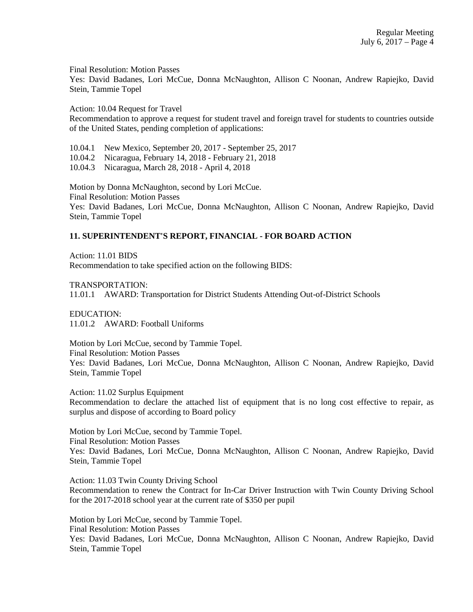Final Resolution: Motion Passes

Yes: David Badanes, Lori McCue, Donna McNaughton, Allison C Noonan, Andrew Rapiejko, David Stein, Tammie Topel

Action: 10.04 Request for Travel

Recommendation to approve a request for student travel and foreign travel for students to countries outside of the United States, pending completion of applications:

10.04.1 New Mexico, September 20, 2017 - September 25, 2017

10.04.2 Nicaragua, February 14, 2018 - February 21, 2018

10.04.3 Nicaragua, March 28, 2018 - April 4, 2018

Motion by Donna McNaughton, second by Lori McCue. Final Resolution: Motion Passes Yes: David Badanes, Lori McCue, Donna McNaughton, Allison C Noonan, Andrew Rapiejko, David Stein, Tammie Topel

# **11. SUPERINTENDENT'S REPORT, FINANCIAL - FOR BOARD ACTION**

Action: 11.01 BIDS Recommendation to take specified action on the following BIDS:

TRANSPORTATION:

11.01.1 AWARD: Transportation for District Students Attending Out-of-District Schools

EDUCATION: 11.01.2 AWARD: Football Uniforms

Motion by Lori McCue, second by Tammie Topel. Final Resolution: Motion Passes Yes: David Badanes, Lori McCue, Donna McNaughton, Allison C Noonan, Andrew Rapiejko, David Stein, Tammie Topel

Action: 11.02 Surplus Equipment Recommendation to declare the attached list of equipment that is no long cost effective to repair, as surplus and dispose of according to Board policy

Motion by Lori McCue, second by Tammie Topel. Final Resolution: Motion Passes Yes: David Badanes, Lori McCue, Donna McNaughton, Allison C Noonan, Andrew Rapiejko, David Stein, Tammie Topel

Action: 11.03 Twin County Driving School Recommendation to renew the Contract for In-Car Driver Instruction with Twin County Driving School for the 2017-2018 school year at the current rate of \$350 per pupil

Motion by Lori McCue, second by Tammie Topel. Final Resolution: Motion Passes Yes: David Badanes, Lori McCue, Donna McNaughton, Allison C Noonan, Andrew Rapiejko, David Stein, Tammie Topel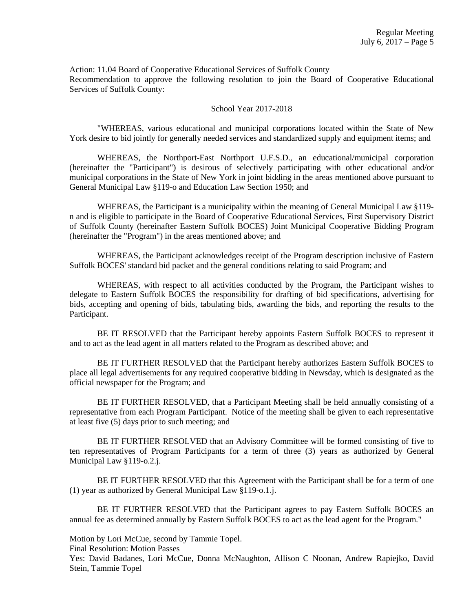Action: 11.04 Board of Cooperative Educational Services of Suffolk County Recommendation to approve the following resolution to join the Board of Cooperative Educational Services of Suffolk County:

#### School Year 2017-2018

"WHEREAS, various educational and municipal corporations located within the State of New York desire to bid jointly for generally needed services and standardized supply and equipment items; and

WHEREAS, the Northport-East Northport U.F.S.D., an educational/municipal corporation (hereinafter the "Participant") is desirous of selectively participating with other educational and/or municipal corporations in the State of New York in joint bidding in the areas mentioned above pursuant to General Municipal Law §119-o and Education Law Section 1950; and

WHEREAS, the Participant is a municipality within the meaning of General Municipal Law §119 n and is eligible to participate in the Board of Cooperative Educational Services, First Supervisory District of Suffolk County (hereinafter Eastern Suffolk BOCES) Joint Municipal Cooperative Bidding Program (hereinafter the "Program") in the areas mentioned above; and

WHEREAS, the Participant acknowledges receipt of the Program description inclusive of Eastern Suffolk BOCES' standard bid packet and the general conditions relating to said Program; and

WHEREAS, with respect to all activities conducted by the Program, the Participant wishes to delegate to Eastern Suffolk BOCES the responsibility for drafting of bid specifications, advertising for bids, accepting and opening of bids, tabulating bids, awarding the bids, and reporting the results to the Participant.

BE IT RESOLVED that the Participant hereby appoints Eastern Suffolk BOCES to represent it and to act as the lead agent in all matters related to the Program as described above; and

BE IT FURTHER RESOLVED that the Participant hereby authorizes Eastern Suffolk BOCES to place all legal advertisements for any required cooperative bidding in Newsday, which is designated as the official newspaper for the Program; and

BE IT FURTHER RESOLVED, that a Participant Meeting shall be held annually consisting of a representative from each Program Participant. Notice of the meeting shall be given to each representative at least five (5) days prior to such meeting; and

BE IT FURTHER RESOLVED that an Advisory Committee will be formed consisting of five to ten representatives of Program Participants for a term of three (3) years as authorized by General Municipal Law §119-o.2.j.

BE IT FURTHER RESOLVED that this Agreement with the Participant shall be for a term of one (1) year as authorized by General Municipal Law §119-o.1.j.

BE IT FURTHER RESOLVED that the Participant agrees to pay Eastern Suffolk BOCES an annual fee as determined annually by Eastern Suffolk BOCES to act as the lead agent for the Program."

Motion by Lori McCue, second by Tammie Topel.

Final Resolution: Motion Passes

Yes: David Badanes, Lori McCue, Donna McNaughton, Allison C Noonan, Andrew Rapiejko, David Stein, Tammie Topel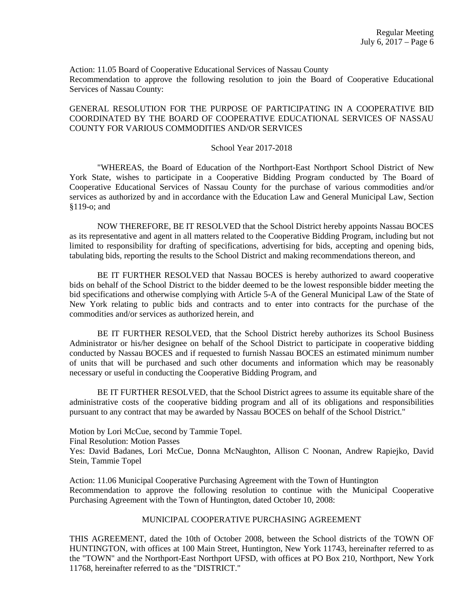Action: 11.05 Board of Cooperative Educational Services of Nassau County Recommendation to approve the following resolution to join the Board of Cooperative Educational Services of Nassau County:

#### GENERAL RESOLUTION FOR THE PURPOSE OF PARTICIPATING IN A COOPERATIVE BID COORDINATED BY THE BOARD OF COOPERATIVE EDUCATIONAL SERVICES OF NASSAU COUNTY FOR VARIOUS COMMODITIES AND/OR SERVICES

#### School Year 2017-2018

"WHEREAS, the Board of Education of the Northport-East Northport School District of New York State, wishes to participate in a Cooperative Bidding Program conducted by The Board of Cooperative Educational Services of Nassau County for the purchase of various commodities and/or services as authorized by and in accordance with the Education Law and General Municipal Law, Section §119-o; and

NOW THEREFORE, BE IT RESOLVED that the School District hereby appoints Nassau BOCES as its representative and agent in all matters related to the Cooperative Bidding Program, including but not limited to responsibility for drafting of specifications, advertising for bids, accepting and opening bids, tabulating bids, reporting the results to the School District and making recommendations thereon, and

BE IT FURTHER RESOLVED that Nassau BOCES is hereby authorized to award cooperative bids on behalf of the School District to the bidder deemed to be the lowest responsible bidder meeting the bid specifications and otherwise complying with Article 5-A of the General Municipal Law of the State of New York relating to public bids and contracts and to enter into contracts for the purchase of the commodities and/or services as authorized herein, and

BE IT FURTHER RESOLVED, that the School District hereby authorizes its School Business Administrator or his/her designee on behalf of the School District to participate in cooperative bidding conducted by Nassau BOCES and if requested to furnish Nassau BOCES an estimated minimum number of units that will be purchased and such other documents and information which may be reasonably necessary or useful in conducting the Cooperative Bidding Program, and

BE IT FURTHER RESOLVED, that the School District agrees to assume its equitable share of the administrative costs of the cooperative bidding program and all of its obligations and responsibilities pursuant to any contract that may be awarded by Nassau BOCES on behalf of the School District."

Motion by Lori McCue, second by Tammie Topel.

Final Resolution: Motion Passes

Yes: David Badanes, Lori McCue, Donna McNaughton, Allison C Noonan, Andrew Rapiejko, David Stein, Tammie Topel

Action: 11.06 Municipal Cooperative Purchasing Agreement with the Town of Huntington Recommendation to approve the following resolution to continue with the Municipal Cooperative Purchasing Agreement with the Town of Huntington, dated October 10, 2008:

# MUNICIPAL COOPERATIVE PURCHASING AGREEMENT

THIS AGREEMENT, dated the 10th of October 2008, between the School districts of the TOWN OF HUNTINGTON, with offices at 100 Main Street, Huntington, New York 11743, hereinafter referred to as the "TOWN" and the Northport-East Northport UFSD, with offices at PO Box 210, Northport, New York 11768, hereinafter referred to as the "DISTRICT."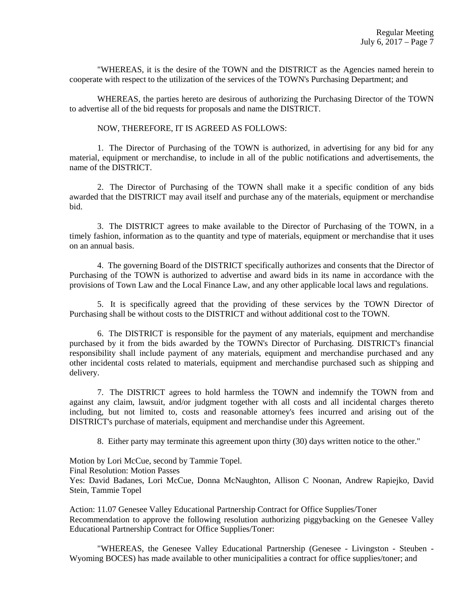"WHEREAS, it is the desire of the TOWN and the DISTRICT as the Agencies named herein to cooperate with respect to the utilization of the services of the TOWN's Purchasing Department; and

WHEREAS, the parties hereto are desirous of authorizing the Purchasing Director of the TOWN to advertise all of the bid requests for proposals and name the DISTRICT.

#### NOW, THEREFORE, IT IS AGREED AS FOLLOWS:

1. The Director of Purchasing of the TOWN is authorized, in advertising for any bid for any material, equipment or merchandise, to include in all of the public notifications and advertisements, the name of the DISTRICT.

2. The Director of Purchasing of the TOWN shall make it a specific condition of any bids awarded that the DISTRICT may avail itself and purchase any of the materials, equipment or merchandise bid.

3. The DISTRICT agrees to make available to the Director of Purchasing of the TOWN, in a timely fashion, information as to the quantity and type of materials, equipment or merchandise that it uses on an annual basis.

4. The governing Board of the DISTRICT specifically authorizes and consents that the Director of Purchasing of the TOWN is authorized to advertise and award bids in its name in accordance with the provisions of Town Law and the Local Finance Law, and any other applicable local laws and regulations.

5. It is specifically agreed that the providing of these services by the TOWN Director of Purchasing shall be without costs to the DISTRICT and without additional cost to the TOWN.

6. The DISTRICT is responsible for the payment of any materials, equipment and merchandise purchased by it from the bids awarded by the TOWN's Director of Purchasing. DISTRICT's financial responsibility shall include payment of any materials, equipment and merchandise purchased and any other incidental costs related to materials, equipment and merchandise purchased such as shipping and delivery.

7. The DISTRICT agrees to hold harmless the TOWN and indemnify the TOWN from and against any claim, lawsuit, and/or judgment together with all costs and all incidental charges thereto including, but not limited to, costs and reasonable attorney's fees incurred and arising out of the DISTRICT's purchase of materials, equipment and merchandise under this Agreement.

8. Either party may terminate this agreement upon thirty (30) days written notice to the other."

Motion by Lori McCue, second by Tammie Topel.

Final Resolution: Motion Passes

Yes: David Badanes, Lori McCue, Donna McNaughton, Allison C Noonan, Andrew Rapiejko, David Stein, Tammie Topel

Action: 11.07 Genesee Valley Educational Partnership Contract for Office Supplies/Toner Recommendation to approve the following resolution authorizing piggybacking on the Genesee Valley Educational Partnership Contract for Office Supplies/Toner:

"WHEREAS, the Genesee Valley Educational Partnership (Genesee - Livingston - Steuben - Wyoming BOCES) has made available to other municipalities a contract for office supplies/toner; and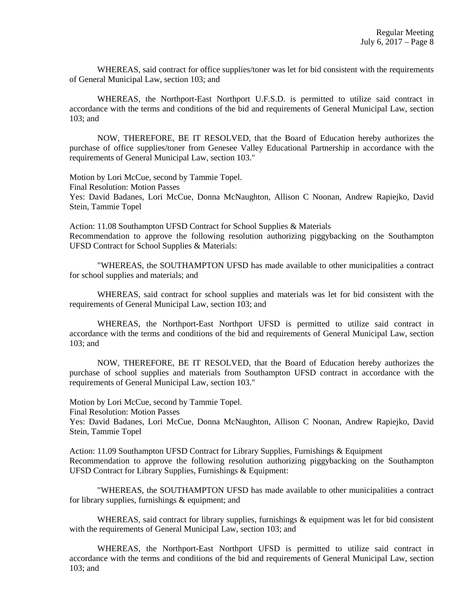WHEREAS, said contract for office supplies/toner was let for bid consistent with the requirements of General Municipal Law, section 103; and

WHEREAS, the Northport-East Northport U.F.S.D. is permitted to utilize said contract in accordance with the terms and conditions of the bid and requirements of General Municipal Law, section 103; and

NOW, THEREFORE, BE IT RESOLVED, that the Board of Education hereby authorizes the purchase of office supplies/toner from Genesee Valley Educational Partnership in accordance with the requirements of General Municipal Law, section 103."

Motion by Lori McCue, second by Tammie Topel. Final Resolution: Motion Passes Yes: David Badanes, Lori McCue, Donna McNaughton, Allison C Noonan, Andrew Rapiejko, David Stein, Tammie Topel

Action: 11.08 Southampton UFSD Contract for School Supplies & Materials Recommendation to approve the following resolution authorizing piggybacking on the Southampton UFSD Contract for School Supplies & Materials:

"WHEREAS, the SOUTHAMPTON UFSD has made available to other municipalities a contract for school supplies and materials; and

WHEREAS, said contract for school supplies and materials was let for bid consistent with the requirements of General Municipal Law, section 103; and

WHEREAS, the Northport-East Northport UFSD is permitted to utilize said contract in accordance with the terms and conditions of the bid and requirements of General Municipal Law, section 103; and

NOW, THEREFORE, BE IT RESOLVED, that the Board of Education hereby authorizes the purchase of school supplies and materials from Southampton UFSD contract in accordance with the requirements of General Municipal Law, section 103."

Motion by Lori McCue, second by Tammie Topel.

Final Resolution: Motion Passes

Yes: David Badanes, Lori McCue, Donna McNaughton, Allison C Noonan, Andrew Rapiejko, David Stein, Tammie Topel

Action: 11.09 Southampton UFSD Contract for Library Supplies, Furnishings & Equipment Recommendation to approve the following resolution authorizing piggybacking on the Southampton UFSD Contract for Library Supplies, Furnishings & Equipment:

"WHEREAS, the SOUTHAMPTON UFSD has made available to other municipalities a contract for library supplies, furnishings & equipment; and

WHEREAS, said contract for library supplies, furnishings & equipment was let for bid consistent with the requirements of General Municipal Law, section 103; and

WHEREAS, the Northport-East Northport UFSD is permitted to utilize said contract in accordance with the terms and conditions of the bid and requirements of General Municipal Law, section 103; and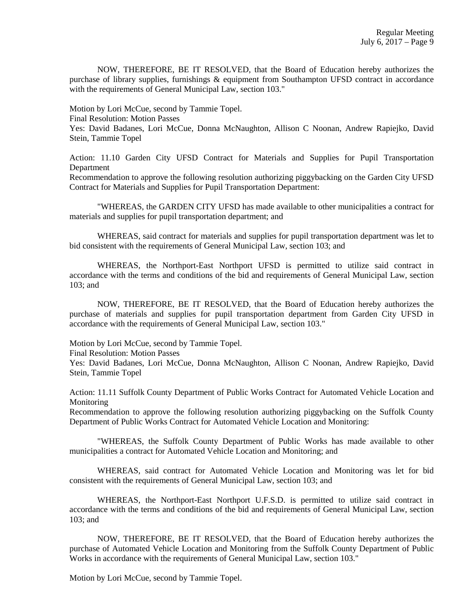NOW, THEREFORE, BE IT RESOLVED, that the Board of Education hereby authorizes the purchase of library supplies, furnishings & equipment from Southampton UFSD contract in accordance with the requirements of General Municipal Law, section 103."

Motion by Lori McCue, second by Tammie Topel.

Final Resolution: Motion Passes

Yes: David Badanes, Lori McCue, Donna McNaughton, Allison C Noonan, Andrew Rapiejko, David Stein, Tammie Topel

Action: 11.10 Garden City UFSD Contract for Materials and Supplies for Pupil Transportation Department

Recommendation to approve the following resolution authorizing piggybacking on the Garden City UFSD Contract for Materials and Supplies for Pupil Transportation Department:

"WHEREAS, the GARDEN CITY UFSD has made available to other municipalities a contract for materials and supplies for pupil transportation department; and

WHEREAS, said contract for materials and supplies for pupil transportation department was let to bid consistent with the requirements of General Municipal Law, section 103; and

WHEREAS, the Northport-East Northport UFSD is permitted to utilize said contract in accordance with the terms and conditions of the bid and requirements of General Municipal Law, section 103; and

NOW, THEREFORE, BE IT RESOLVED, that the Board of Education hereby authorizes the purchase of materials and supplies for pupil transportation department from Garden City UFSD in accordance with the requirements of General Municipal Law, section 103."

Motion by Lori McCue, second by Tammie Topel.

Final Resolution: Motion Passes

Yes: David Badanes, Lori McCue, Donna McNaughton, Allison C Noonan, Andrew Rapiejko, David Stein, Tammie Topel

Action: 11.11 Suffolk County Department of Public Works Contract for Automated Vehicle Location and Monitoring

Recommendation to approve the following resolution authorizing piggybacking on the Suffolk County Department of Public Works Contract for Automated Vehicle Location and Monitoring:

"WHEREAS, the Suffolk County Department of Public Works has made available to other municipalities a contract for Automated Vehicle Location and Monitoring; and

WHEREAS, said contract for Automated Vehicle Location and Monitoring was let for bid consistent with the requirements of General Municipal Law, section 103; and

WHEREAS, the Northport-East Northport U.F.S.D. is permitted to utilize said contract in accordance with the terms and conditions of the bid and requirements of General Municipal Law, section 103; and

NOW, THEREFORE, BE IT RESOLVED, that the Board of Education hereby authorizes the purchase of Automated Vehicle Location and Monitoring from the Suffolk County Department of Public Works in accordance with the requirements of General Municipal Law, section 103."

Motion by Lori McCue, second by Tammie Topel.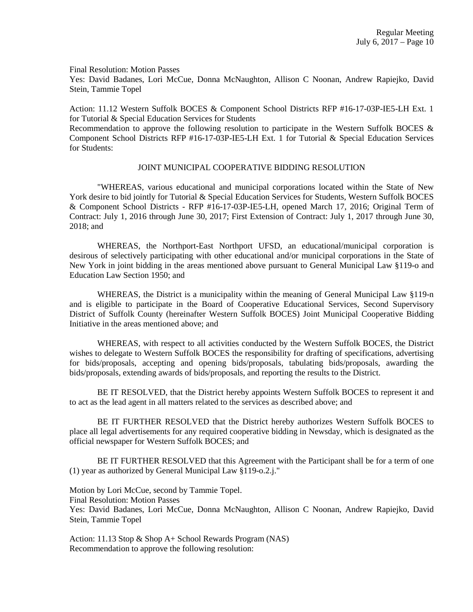Final Resolution: Motion Passes

Yes: David Badanes, Lori McCue, Donna McNaughton, Allison C Noonan, Andrew Rapiejko, David Stein, Tammie Topel

Action: 11.12 Western Suffolk BOCES & Component School Districts RFP #16-17-03P-IE5-LH Ext. 1 for Tutorial & Special Education Services for Students

Recommendation to approve the following resolution to participate in the Western Suffolk BOCES  $\&$ Component School Districts RFP #16-17-03P-IE5-LH Ext. 1 for Tutorial & Special Education Services for Students:

#### JOINT MUNICIPAL COOPERATIVE BIDDING RESOLUTION

"WHEREAS, various educational and municipal corporations located within the State of New York desire to bid jointly for Tutorial & Special Education Services for Students, Western Suffolk BOCES & Component School Districts - RFP #16-17-03P-IE5-LH, opened March 17, 2016; Original Term of Contract: July 1, 2016 through June 30, 2017; First Extension of Contract: July 1, 2017 through June 30, 2018; and

WHEREAS, the Northport-East Northport UFSD, an educational/municipal corporation is desirous of selectively participating with other educational and/or municipal corporations in the State of New York in joint bidding in the areas mentioned above pursuant to General Municipal Law §119-o and Education Law Section 1950; and

WHEREAS, the District is a municipality within the meaning of General Municipal Law §119-n and is eligible to participate in the Board of Cooperative Educational Services, Second Supervisory District of Suffolk County (hereinafter Western Suffolk BOCES) Joint Municipal Cooperative Bidding Initiative in the areas mentioned above; and

WHEREAS, with respect to all activities conducted by the Western Suffolk BOCES, the District wishes to delegate to Western Suffolk BOCES the responsibility for drafting of specifications, advertising for bids/proposals, accepting and opening bids/proposals, tabulating bids/proposals, awarding the bids/proposals, extending awards of bids/proposals, and reporting the results to the District.

BE IT RESOLVED, that the District hereby appoints Western Suffolk BOCES to represent it and to act as the lead agent in all matters related to the services as described above; and

BE IT FURTHER RESOLVED that the District hereby authorizes Western Suffolk BOCES to place all legal advertisements for any required cooperative bidding in Newsday, which is designated as the official newspaper for Western Suffolk BOCES; and

BE IT FURTHER RESOLVED that this Agreement with the Participant shall be for a term of one (1) year as authorized by General Municipal Law §119-o.2.j."

Motion by Lori McCue, second by Tammie Topel.

Final Resolution: Motion Passes

Yes: David Badanes, Lori McCue, Donna McNaughton, Allison C Noonan, Andrew Rapiejko, David Stein, Tammie Topel

Action: 11.13 Stop & Shop A+ School Rewards Program (NAS) Recommendation to approve the following resolution: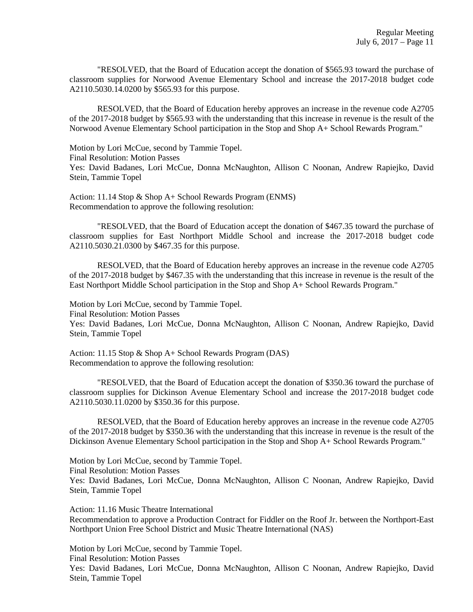"RESOLVED, that the Board of Education accept the donation of \$565.93 toward the purchase of classroom supplies for Norwood Avenue Elementary School and increase the 2017-2018 budget code A2110.5030.14.0200 by \$565.93 for this purpose.

RESOLVED, that the Board of Education hereby approves an increase in the revenue code A2705 of the 2017-2018 budget by \$565.93 with the understanding that this increase in revenue is the result of the Norwood Avenue Elementary School participation in the Stop and Shop A+ School Rewards Program."

Motion by Lori McCue, second by Tammie Topel.

Final Resolution: Motion Passes

Yes: David Badanes, Lori McCue, Donna McNaughton, Allison C Noonan, Andrew Rapiejko, David Stein, Tammie Topel

Action: 11.14 Stop & Shop A+ School Rewards Program (ENMS) Recommendation to approve the following resolution:

"RESOLVED, that the Board of Education accept the donation of \$467.35 toward the purchase of classroom supplies for East Northport Middle School and increase the 2017-2018 budget code A2110.5030.21.0300 by \$467.35 for this purpose.

RESOLVED, that the Board of Education hereby approves an increase in the revenue code A2705 of the 2017-2018 budget by \$467.35 with the understanding that this increase in revenue is the result of the East Northport Middle School participation in the Stop and Shop A+ School Rewards Program."

Motion by Lori McCue, second by Tammie Topel. Final Resolution: Motion Passes Yes: David Badanes, Lori McCue, Donna McNaughton, Allison C Noonan, Andrew Rapiejko, David Stein, Tammie Topel

Action: 11.15 Stop & Shop A+ School Rewards Program (DAS) Recommendation to approve the following resolution:

"RESOLVED, that the Board of Education accept the donation of \$350.36 toward the purchase of classroom supplies for Dickinson Avenue Elementary School and increase the 2017-2018 budget code A2110.5030.11.0200 by \$350.36 for this purpose.

RESOLVED, that the Board of Education hereby approves an increase in the revenue code A2705 of the 2017-2018 budget by \$350.36 with the understanding that this increase in revenue is the result of the Dickinson Avenue Elementary School participation in the Stop and Shop A+ School Rewards Program."

Motion by Lori McCue, second by Tammie Topel. Final Resolution: Motion Passes Yes: David Badanes, Lori McCue, Donna McNaughton, Allison C Noonan, Andrew Rapiejko, David Stein, Tammie Topel

Action: 11.16 Music Theatre International Recommendation to approve a Production Contract for Fiddler on the Roof Jr. between the Northport-East Northport Union Free School District and Music Theatre International (NAS)

Motion by Lori McCue, second by Tammie Topel. Final Resolution: Motion Passes Yes: David Badanes, Lori McCue, Donna McNaughton, Allison C Noonan, Andrew Rapiejko, David Stein, Tammie Topel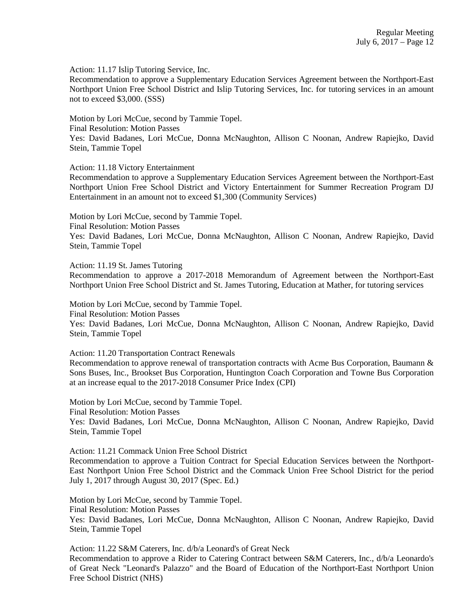Action: 11.17 Islip Tutoring Service, Inc.

Recommendation to approve a Supplementary Education Services Agreement between the Northport-East Northport Union Free School District and Islip Tutoring Services, Inc. for tutoring services in an amount not to exceed \$3,000. (SSS)

Motion by Lori McCue, second by Tammie Topel. Final Resolution: Motion Passes Yes: David Badanes, Lori McCue, Donna McNaughton, Allison C Noonan, Andrew Rapiejko, David Stein, Tammie Topel

Action: 11.18 Victory Entertainment

Recommendation to approve a Supplementary Education Services Agreement between the Northport-East Northport Union Free School District and Victory Entertainment for Summer Recreation Program DJ Entertainment in an amount not to exceed \$1,300 (Community Services)

Motion by Lori McCue, second by Tammie Topel. Final Resolution: Motion Passes Yes: David Badanes, Lori McCue, Donna McNaughton, Allison C Noonan, Andrew Rapiejko, David Stein, Tammie Topel

Action: 11.19 St. James Tutoring

Recommendation to approve a 2017-2018 Memorandum of Agreement between the Northport-East Northport Union Free School District and St. James Tutoring, Education at Mather, for tutoring services

Motion by Lori McCue, second by Tammie Topel. Final Resolution: Motion Passes Yes: David Badanes, Lori McCue, Donna McNaughton, Allison C Noonan, Andrew Rapiejko, David

Stein, Tammie Topel

Action: 11.20 Transportation Contract Renewals

Recommendation to approve renewal of transportation contracts with Acme Bus Corporation, Baumann & Sons Buses, Inc., Brookset Bus Corporation, Huntington Coach Corporation and Towne Bus Corporation at an increase equal to the 2017-2018 Consumer Price Index (CPI)

Motion by Lori McCue, second by Tammie Topel. Final Resolution: Motion Passes

Yes: David Badanes, Lori McCue, Donna McNaughton, Allison C Noonan, Andrew Rapiejko, David Stein, Tammie Topel

Action: 11.21 Commack Union Free School District

Recommendation to approve a Tuition Contract for Special Education Services between the Northport-East Northport Union Free School District and the Commack Union Free School District for the period July 1, 2017 through August 30, 2017 (Spec. Ed.)

Motion by Lori McCue, second by Tammie Topel.

Final Resolution: Motion Passes

Yes: David Badanes, Lori McCue, Donna McNaughton, Allison C Noonan, Andrew Rapiejko, David Stein, Tammie Topel

Action: 11.22 S&M Caterers, Inc. d/b/a Leonard's of Great Neck

Recommendation to approve a Rider to Catering Contract between S&M Caterers, Inc., d/b/a Leonardo's of Great Neck "Leonard's Palazzo" and the Board of Education of the Northport-East Northport Union Free School District (NHS)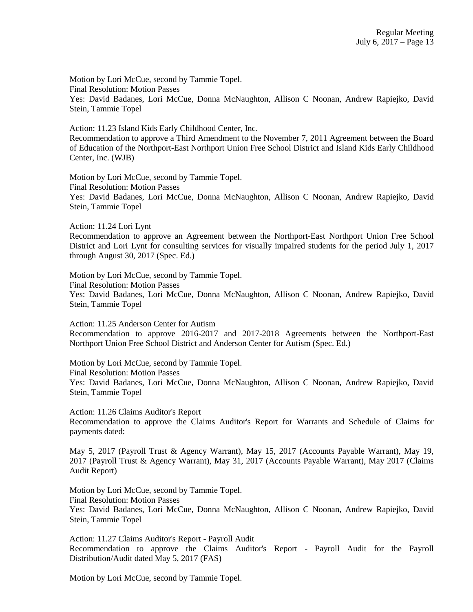Motion by Lori McCue, second by Tammie Topel. Final Resolution: Motion Passes Yes: David Badanes, Lori McCue, Donna McNaughton, Allison C Noonan, Andrew Rapiejko, David Stein, Tammie Topel

Action: 11.23 Island Kids Early Childhood Center, Inc. Recommendation to approve a Third Amendment to the November 7, 2011 Agreement between the Board of Education of the Northport-East Northport Union Free School District and Island Kids Early Childhood Center, Inc. (WJB)

Motion by Lori McCue, second by Tammie Topel. Final Resolution: Motion Passes Yes: David Badanes, Lori McCue, Donna McNaughton, Allison C Noonan, Andrew Rapiejko, David Stein, Tammie Topel

Action: 11.24 Lori Lynt

Recommendation to approve an Agreement between the Northport-East Northport Union Free School District and Lori Lynt for consulting services for visually impaired students for the period July 1, 2017 through August 30, 2017 (Spec. Ed.)

Motion by Lori McCue, second by Tammie Topel.

Final Resolution: Motion Passes

Yes: David Badanes, Lori McCue, Donna McNaughton, Allison C Noonan, Andrew Rapiejko, David Stein, Tammie Topel

Action: 11.25 Anderson Center for Autism Recommendation to approve 2016-2017 and 2017-2018 Agreements between the Northport-East Northport Union Free School District and Anderson Center for Autism (Spec. Ed.)

Motion by Lori McCue, second by Tammie Topel.

Final Resolution: Motion Passes

Yes: David Badanes, Lori McCue, Donna McNaughton, Allison C Noonan, Andrew Rapiejko, David Stein, Tammie Topel

Action: 11.26 Claims Auditor's Report Recommendation to approve the Claims Auditor's Report for Warrants and Schedule of Claims for payments dated:

May 5, 2017 (Payroll Trust & Agency Warrant), May 15, 2017 (Accounts Payable Warrant), May 19, 2017 (Payroll Trust & Agency Warrant), May 31, 2017 (Accounts Payable Warrant), May 2017 (Claims Audit Report)

Motion by Lori McCue, second by Tammie Topel. Final Resolution: Motion Passes Yes: David Badanes, Lori McCue, Donna McNaughton, Allison C Noonan, Andrew Rapiejko, David Stein, Tammie Topel

Action: 11.27 Claims Auditor's Report - Payroll Audit Recommendation to approve the Claims Auditor's Report - Payroll Audit for the Payroll Distribution/Audit dated May 5, 2017 (FAS)

Motion by Lori McCue, second by Tammie Topel.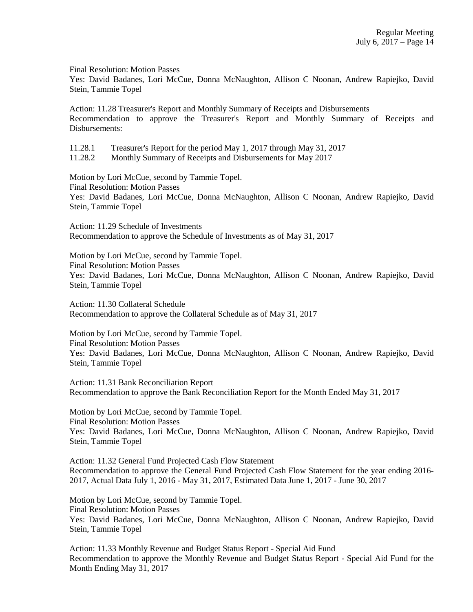Final Resolution: Motion Passes

Yes: David Badanes, Lori McCue, Donna McNaughton, Allison C Noonan, Andrew Rapiejko, David Stein, Tammie Topel

Action: 11.28 Treasurer's Report and Monthly Summary of Receipts and Disbursements Recommendation to approve the Treasurer's Report and Monthly Summary of Receipts and Disbursements:

11.28.1 Treasurer's Report for the period May 1, 2017 through May 31, 2017

11.28.2 Monthly Summary of Receipts and Disbursements for May 2017

Motion by Lori McCue, second by Tammie Topel. Final Resolution: Motion Passes Yes: David Badanes, Lori McCue, Donna McNaughton, Allison C Noonan, Andrew Rapiejko, David Stein, Tammie Topel

Action: 11.29 Schedule of Investments Recommendation to approve the Schedule of Investments as of May 31, 2017

Motion by Lori McCue, second by Tammie Topel.

Final Resolution: Motion Passes Yes: David Badanes, Lori McCue, Donna McNaughton, Allison C Noonan, Andrew Rapiejko, David Stein, Tammie Topel

Action: 11.30 Collateral Schedule Recommendation to approve the Collateral Schedule as of May 31, 2017

Motion by Lori McCue, second by Tammie Topel.

Final Resolution: Motion Passes Yes: David Badanes, Lori McCue, Donna McNaughton, Allison C Noonan, Andrew Rapiejko, David Stein, Tammie Topel

Action: 11.31 Bank Reconciliation Report Recommendation to approve the Bank Reconciliation Report for the Month Ended May 31, 2017

Motion by Lori McCue, second by Tammie Topel. Final Resolution: Motion Passes Yes: David Badanes, Lori McCue, Donna McNaughton, Allison C Noonan, Andrew Rapiejko, David Stein, Tammie Topel

Action: 11.32 General Fund Projected Cash Flow Statement Recommendation to approve the General Fund Projected Cash Flow Statement for the year ending 2016- 2017, Actual Data July 1, 2016 - May 31, 2017, Estimated Data June 1, 2017 - June 30, 2017

Motion by Lori McCue, second by Tammie Topel. Final Resolution: Motion Passes Yes: David Badanes, Lori McCue, Donna McNaughton, Allison C Noonan, Andrew Rapiejko, David Stein, Tammie Topel

Action: 11.33 Monthly Revenue and Budget Status Report - Special Aid Fund Recommendation to approve the Monthly Revenue and Budget Status Report - Special Aid Fund for the Month Ending May 31, 2017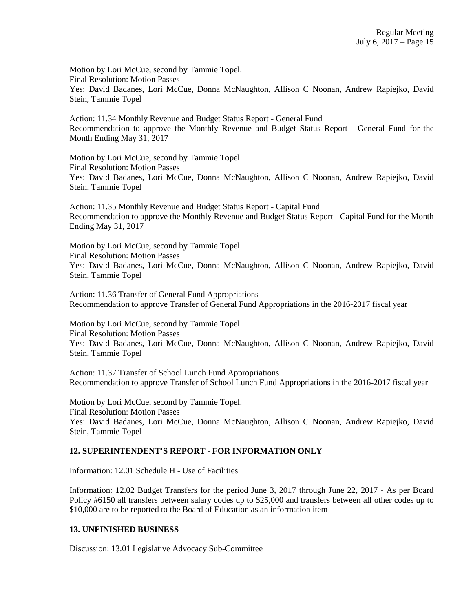Motion by Lori McCue, second by Tammie Topel. Final Resolution: Motion Passes Yes: David Badanes, Lori McCue, Donna McNaughton, Allison C Noonan, Andrew Rapiejko, David Stein, Tammie Topel

Action: 11.34 Monthly Revenue and Budget Status Report - General Fund Recommendation to approve the Monthly Revenue and Budget Status Report - General Fund for the Month Ending May 31, 2017

Motion by Lori McCue, second by Tammie Topel. Final Resolution: Motion Passes Yes: David Badanes, Lori McCue, Donna McNaughton, Allison C Noonan, Andrew Rapiejko, David Stein, Tammie Topel

Action: 11.35 Monthly Revenue and Budget Status Report - Capital Fund Recommendation to approve the Monthly Revenue and Budget Status Report - Capital Fund for the Month Ending May 31, 2017

Motion by Lori McCue, second by Tammie Topel. Final Resolution: Motion Passes Yes: David Badanes, Lori McCue, Donna McNaughton, Allison C Noonan, Andrew Rapiejko, David Stein, Tammie Topel

Action: 11.36 Transfer of General Fund Appropriations Recommendation to approve Transfer of General Fund Appropriations in the 2016-2017 fiscal year

Motion by Lori McCue, second by Tammie Topel. Final Resolution: Motion Passes Yes: David Badanes, Lori McCue, Donna McNaughton, Allison C Noonan, Andrew Rapiejko, David Stein, Tammie Topel

Action: 11.37 Transfer of School Lunch Fund Appropriations Recommendation to approve Transfer of School Lunch Fund Appropriations in the 2016-2017 fiscal year

Motion by Lori McCue, second by Tammie Topel. Final Resolution: Motion Passes Yes: David Badanes, Lori McCue, Donna McNaughton, Allison C Noonan, Andrew Rapiejko, David Stein, Tammie Topel

# **12. SUPERINTENDENT'S REPORT - FOR INFORMATION ONLY**

Information: 12.01 Schedule H - Use of Facilities

Information: 12.02 Budget Transfers for the period June 3, 2017 through June 22, 2017 - As per Board Policy #6150 all transfers between salary codes up to \$25,000 and transfers between all other codes up to \$10,000 are to be reported to the Board of Education as an information item

#### **13. UNFINISHED BUSINESS**

Discussion: 13.01 Legislative Advocacy Sub-Committee